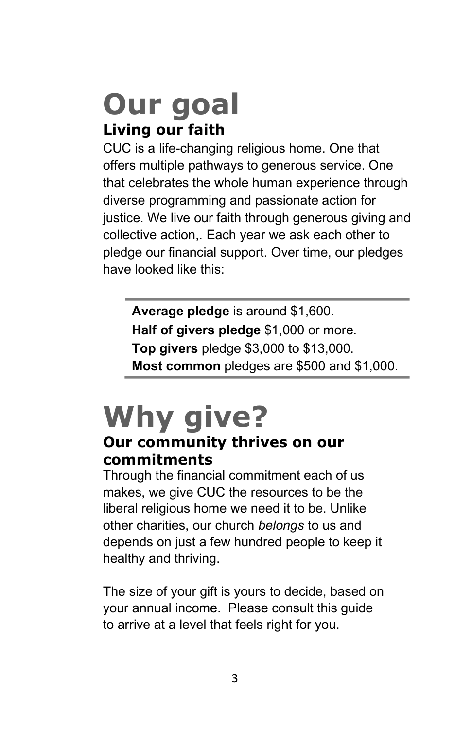## Our goal Living our faith

CUC is a life-changing religious home. One that offers multiple pathways to generous service. One that celebrates the whole human experience through diverse programming and passionate action for justice. We live our faith through generous giving and collective action,. Each year we ask each other to pledge our financial support. Over time, our pledges have looked like this:

Average pledge is around \$1,600. Half of givers pledge \$1,000 or more. Top givers pledge \$3,000 to \$13,000. Most common pledges are \$500 and \$1,000.

# Why give?

### Our community thrives on our commitments

Through the financial commitment each of us makes, we give CUC the resources to be the liberal religious home we need it to be. Unlike other charities, our church belongs to us and depends on just a few hundred people to keep it healthy and thriving.

The size of your gift is yours to decide, based on your annual income. Please consult this guide to arrive at a level that feels right for you.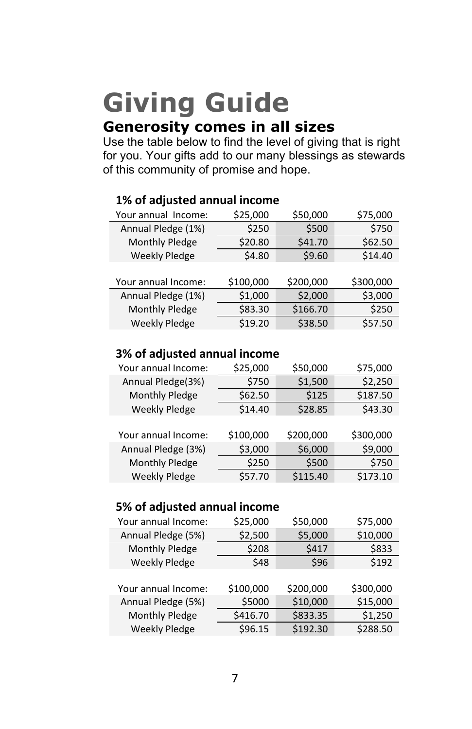## Giving Guide Generosity comes in all sizes

Use the table below to find the level of giving that is right for you. Your gifts add to our many blessings as stewards of this community of promise and hope.

| Your annual Income:  | \$25,000  | \$50,000  | \$75,000  |
|----------------------|-----------|-----------|-----------|
| Annual Pledge (1%)   | \$250     | \$500     | \$750     |
| Monthly Pledge       | \$20.80   | \$41.70   | \$62.50   |
| <b>Weekly Pledge</b> | \$4.80    | \$9.60    | \$14.40   |
|                      |           |           |           |
| Your annual Income:  | \$100,000 | \$200,000 | \$300,000 |
| Annual Pledge (1%)   | \$1,000   | \$2,000   | \$3,000   |
| Monthly Pledge       | \$83.30   | \$166.70  | \$250     |
| <b>Weekly Pledge</b> | \$19.20   | \$38.50   | \$57.50   |

### 1% of adjusted annual income

#### 3% of adjusted annual income

| Your annual Income:  | \$25,000  | \$50,000  | \$75,000  |
|----------------------|-----------|-----------|-----------|
| Annual Pledge(3%)    | \$750     | \$1,500   | \$2,250   |
| Monthly Pledge       | \$62.50   | \$125     | \$187.50  |
| <b>Weekly Pledge</b> | \$14.40   | \$28.85   | \$43.30   |
|                      |           |           |           |
| Your annual Income:  | \$100,000 | \$200,000 | \$300,000 |
| Annual Pledge (3%)   | \$3,000   | \$6,000   | \$9,000   |
| Monthly Pledge       | \$250     | \$500     | \$750     |
| <b>Weekly Pledge</b> | \$57.70   | \$115.40  | \$173.10  |

#### 5% of adjusted annual income

| Your annual Income:  | \$25,000  | \$50,000  | \$75,000  |
|----------------------|-----------|-----------|-----------|
| Annual Pledge (5%)   | \$2,500   | \$5,000   | \$10,000  |
| Monthly Pledge       | \$208     | \$417     | \$833     |
| <b>Weekly Pledge</b> | \$48      | \$96      | \$192     |
|                      |           |           |           |
| Your annual Income:  | \$100,000 | \$200,000 | \$300,000 |
| Annual Pledge (5%)   | \$5000    | \$10,000  | \$15,000  |
| Monthly Pledge       | \$416.70  | \$833.35  | \$1,250   |
| <b>Weekly Pledge</b> | \$96.15   | \$192.30  | \$288.50  |